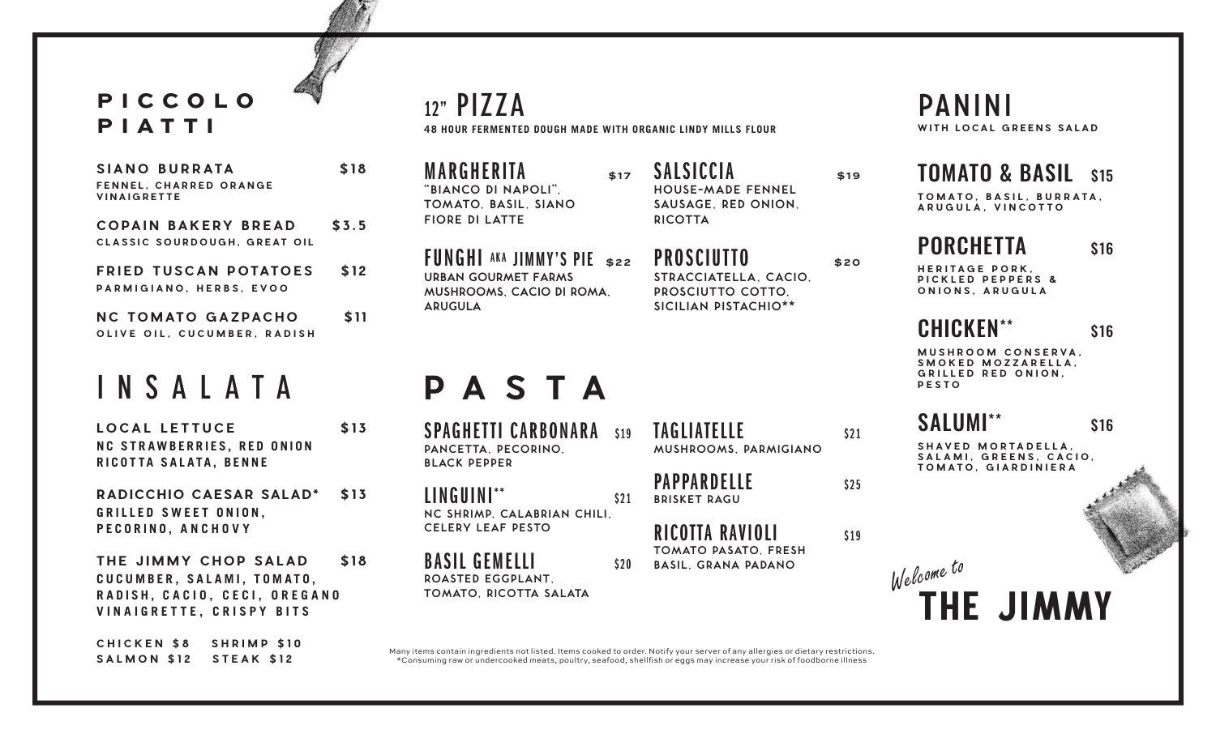#### PICCOLO PIATTI

| SIANO BURRATA                                | \$18 |
|----------------------------------------------|------|
| FENNEL. CHARRED ORANGE<br><b>VINAIGRETTE</b> |      |

**COPAIN BAKERY BREAD \$3.5 CLASSIC SOURDOUGH, GREAT OIL**

**FRIED TUSCAN POTATOES** \$12 **PARMIGIANO, HERBS, EVOO**

**NC TOMATO GAZPACHO** \$11 **OLIVE OIL, CUCUMBER, RADISH**

# INSALATA

**LOCAL LETTUCE \$13 NC STRAWBERRIES, RED ONION RICOTTA SALATA, BENNE** 

**RADICCHIO CAESAR SALAD\* \$13 GRILLED SWEET ONION, PECORINO, ANCHOVY**

**THE JIMMY CHOP SALAD \$18 CUCUMBER, SALAMI, TOMATO, RADISH, CACIO, CECI, OREGANO VINAIGRETTE, CRISPY BITS**

**CHICKEN \$8 SHRIMP \$10 SALMON \$12 STEAK \$12**

**48 HOUR FERMENTED DOUGH MADE WITH ORGANIC LINDY MILLS FLOUR** 12" PIZZA

**MARGHERITA** \$17 **"BIANCO DI NAPOLI", TOMATO, BASIL, SIANO FIORE DI LATTE**

FUNGHI AKA JIMMY'S PIE **\$22 URBAN GOURMET FARMS MUSHROOMS, CACIO DI ROMA, ARUGULA**

SALSICCIA **\$19 HOUSE-MADE FENNEL SAUSAGE, RED ONION,**

**RICOTTA**

PROSCIUTTO \$20 **STRACCIATELLA, CACIO, PROSCIUTTO COTTO, SICILIAN PISTACHIO\*\***

# **PASTA**

SPAGHETTI CARBONARA \$19 **PANCETTA, PECORINO, BLACK PEPPER**

 $LINGUINI^{**}$   $s_{21}$ **NC SHRIMP, CALABRIAN CHILI, CELERY LEAF PESTO**

BASIL GEMELLI \$20 **ROASTED EGGPLANT, TOMATO, RICOTTA SALATA**

TAGLIATELLE \$21 **MUSHROOMS, PARMIGIANO**

PAPPARDELLE  $s_{25}$ **BRISKET RAGU**

 $RICOITA$   $RAVIOLI$   $S19$ **TOMATO PASATO, FRESH BASIL, GRANA PADANO**

PANINI **WITH LOCAL GREENS SALAD**

### TOMATO & BASIL \$15

**TOMATO, BASIL, BURRATA, ARUGULA, VINCOTTO**

#### PORCHETTA<sub>\$16</sub>

**HERITAGE PORK, PICKLED PEPPERS & ONIONS, ARUGULA**

 $CHICKFN<sup>**</sup>$  \$16

**MUSHROOM CONSERVA, SMOKED MOZZARELLA, GRILLED RED ONION, PESTO**

SALUMI<sup>\*\*</sup> \$16

**SHAVED MORTADELLA, SALAMI, GREENS, CACIO, TOMATO, GIARDINIERA**

THE JIMMY *Welcome to*

Many items contain ingredients not listed. Items cooked to order. Notify your server of any allergies or dietary restrictions. \*Consuming raw or undercooked meats, poultry, seafood, shellsh or eggs may increase your risk of foodborne illness